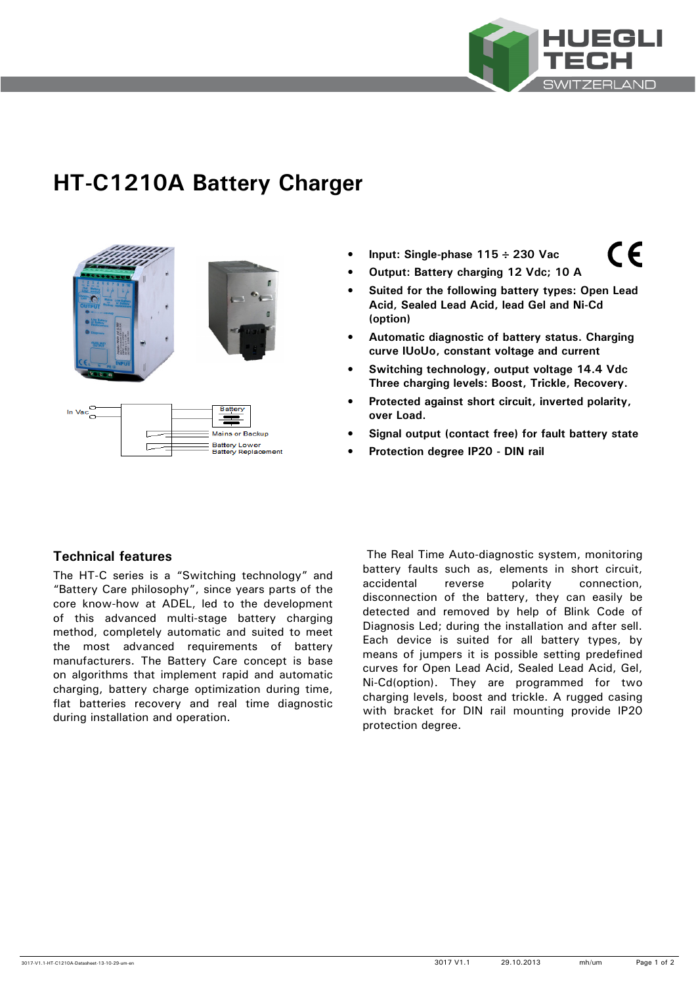

 $\epsilon$ 

# **HT-C1210A Battery Charger**



- **Input: Single-phase 115** ÷ **230 Vac**
- **Output: Battery charging 12 Vdc; 10 A**
- **Suited for the following battery types: Open Lead Acid, Sealed Lead Acid, lead Gel and Ni-Cd (option)**
- **Automatic diagnostic of battery status. Charging curve IUoUo, constant voltage and current**
- **Switching technology, output voltage 14.4 Vdc Three charging levels: Boost, Trickle, Recovery.**
- **Protected against short circuit, inverted polarity, over Load.**
- **Signal output (contact free) for fault battery state**
- **Protection degree IP20 DIN rail**

# **Technical features**

The HT-C series is a "Switching technology" and "Battery Care philosophy", since years parts of the core know-how at ADEL, led to the development of this advanced multi-stage battery charging method, completely automatic and suited to meet the most advanced requirements of battery manufacturers. The Battery Care concept is base on algorithms that implement rapid and automatic charging, battery charge optimization during time, flat batteries recovery and real time diagnostic during installation and operation.

 The Real Time Auto-diagnostic system, monitoring battery faults such as, elements in short circuit, accidental reverse polarity connection, disconnection of the battery, they can easily be detected and removed by help of Blink Code of Diagnosis Led; during the installation and after sell. Each device is suited for all battery types, by means of jumpers it is possible setting predefined curves for Open Lead Acid, Sealed Lead Acid, Gel, Ni-Cd(option). They are programmed for two charging levels, boost and trickle. A rugged casing with bracket for DIN rail mounting provide IP20 protection degree.